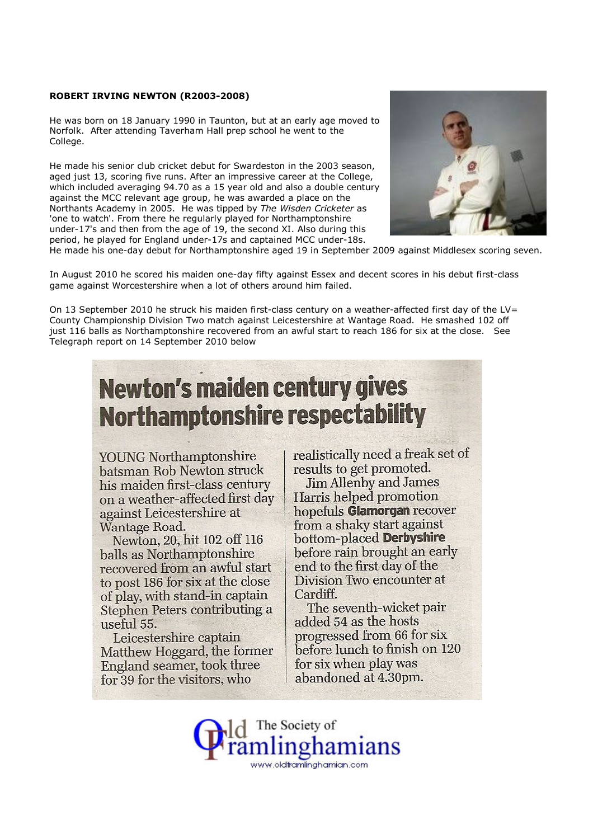## ROBERT IRVING NEWTON (R2003-2008)

He was born on 18 January 1990 in Taunton, but at an early age moved to Norfolk. After attending Taverham Hall prep school he went to the College.

He made his senior club cricket debut for Swardeston in the 2003 season, aged just 13, scoring five runs. After an impressive career at the College, which included averaging 94.70 as a 15 year old and also a double century against the MCC relevant age group, he was awarded a place on the Northants Academy in 2005. He was tipped by The Wisden Cricketer as 'one to watch'. From there he regularly played for Northamptonshire under-17's and then from the age of 19, the second XI. Also during this period, he played for England under-17s and captained MCC under-18s.



He made his one-day debut for Northamptonshire aged 19 in September 2009 against Middlesex scoring seven.

In August 2010 he scored his maiden one-day fifty against Essex and decent scores in his debut first-class game against Worcestershire when a lot of others around him failed.

On 13 September 2010 he struck his maiden first-class century on a weather-affected first day of the LV= County Championship Division Two match against Leicestershire at Wantage Road. He smashed 102 off just 116 balls as Northamptonshire recovered from an awful start to reach 186 for six at the close. See Telegraph report on 14 September 2010 below

## **Newton's maiden century gives Northamptonshire respectability**

**YOUNG** Northamptonshire batsman Rob Newton struck his maiden first-class century on a weather-affected first day against Leicestershire at Wantage Road.

Newton, 20, hit 102 off 116 balls as Northamptonshire recovered from an awful start to post 186 for six at the close of play, with stand-in captain Stephen Peters contributing a useful 55.

Leicestershire captain Matthew Hoggard, the former England seamer, took three for 39 for the visitors, who

realistically need a freak set of results to get promoted.

**Jim Allenby and James** Harris helped promotion hopefuls Glamorgan recover from a shaky start against bottom-placed Derbyshire before rain brought an early end to the first day of the Division Two encounter at Cardiff.

The seventh-wicket pair added 54 as the hosts progressed from 66 for six before lunch to finish on 120 for six when play was abandoned at 4.30pm.